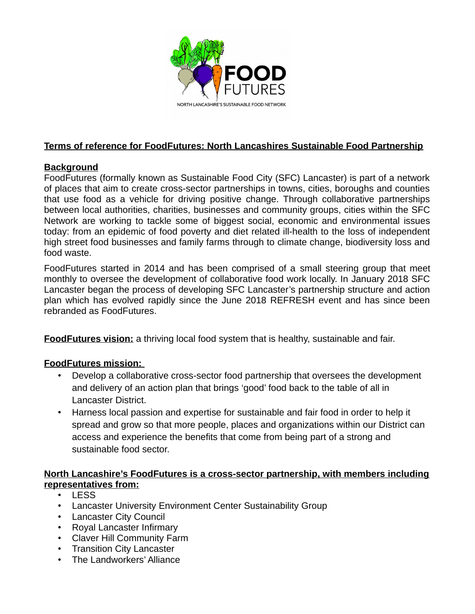

# **Terms of reference for FoodFutures: North Lancashires Sustainable Food Partnership**

## **Background**

FoodFutures (formally known as Sustainable Food City (SFC) Lancaster) is part of a network of places that aim to create cross-sector partnerships in towns, cities, boroughs and counties that use food as a vehicle for driving positive change. Through collaborative partnerships between local authorities, charities, businesses and community groups, cities within the SFC Network are working to tackle some of biggest social, economic and environmental issues today: from an epidemic of food poverty and diet related ill-health to the loss of independent high street food businesses and family farms through to climate change, biodiversity loss and food waste.

FoodFutures started in 2014 and has been comprised of a small steering group that meet monthly to oversee the development of collaborative food work locally. In January 2018 SFC Lancaster began the process of developing SFC Lancaster's partnership structure and action plan which has evolved rapidly since the June 2018 REFRESH event and has since been rebranded as FoodFutures.

**FoodFutures vision:** a thriving local food system that is healthy, sustainable and fair.

## **FoodFutures mission:**

- Develop a collaborative cross-sector food partnership that oversees the development and delivery of an action plan that brings 'good' food back to the table of all in Lancaster District.
- Harness local passion and expertise for sustainable and fair food in order to help it spread and grow so that more people, places and organizations within our District can access and experience the benefits that come from being part of a strong and sustainable food sector.

### **North Lancashire's FoodFutures is a cross-sector partnership, with members including representatives from:**

- LESS
- Lancaster University Environment Center Sustainability Group
- Lancaster City Council
- Royal Lancaster Infirmary
- Claver Hill Community Farm
- Transition City Lancaster
- The Landworkers' Alliance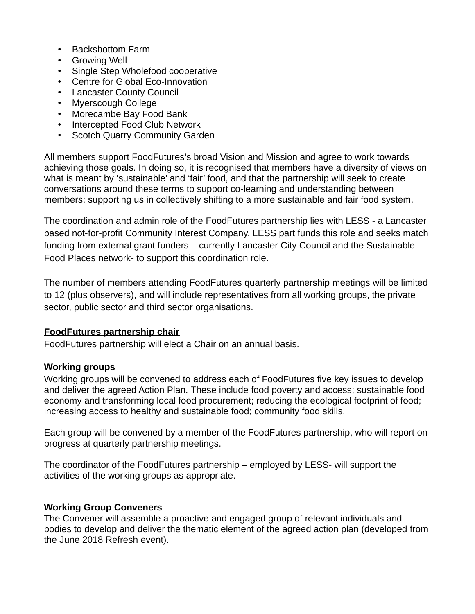- Backsbottom Farm
- Growing Well
- Single Step Wholefood cooperative
- Centre for Global Eco-Innovation
- Lancaster County Council
- Myerscough College
- Morecambe Bay Food Bank
- Intercepted Food Club Network
- Scotch Quarry Community Garden

All members support FoodFutures's broad Vision and Mission and agree to work towards achieving those goals. In doing so, it is recognised that members have a diversity of views on what is meant by 'sustainable' and 'fair' food, and that the partnership will seek to create conversations around these terms to support co-learning and understanding between members; supporting us in collectively shifting to a more sustainable and fair food system.

The coordination and admin role of the FoodFutures partnership lies with LESS - a Lancaster based not-for-profit Community Interest Company. LESS part funds this role and seeks match funding from external grant funders – currently Lancaster City Council and the Sustainable Food Places network- to support this coordination role.

The number of members attending FoodFutures quarterly partnership meetings will be limited to 12 (plus observers), and will include representatives from all working groups, the private sector, public sector and third sector organisations.

#### **FoodFutures partnership chair**

FoodFutures partnership will elect a Chair on an annual basis.

#### **Working groups**

Working groups will be convened to address each of FoodFutures five key issues to develop and deliver the agreed Action Plan. These include food poverty and access; sustainable food economy and transforming local food procurement; reducing the ecological footprint of food; increasing access to healthy and sustainable food; community food skills.

Each group will be convened by a member of the FoodFutures partnership, who will report on progress at quarterly partnership meetings.

The coordinator of the FoodFutures partnership – employed by LESS- will support the activities of the working groups as appropriate.

#### **Working Group Conveners**

The Convener will assemble a proactive and engaged group of relevant individuals and bodies to develop and deliver the thematic element of the agreed action plan (developed from the June 2018 Refresh event).